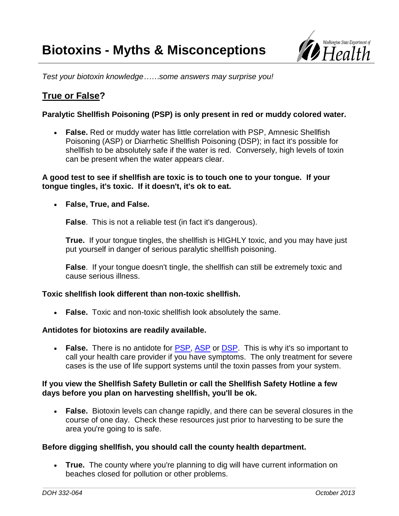

*Test your biotoxin knowledge……some answers may surprise you!*

# **True or False?**

# **Paralytic Shellfish Poisoning (PSP) is only present in red or muddy colored water.**

 **False.** Red or muddy water has little correlation with PSP, Amnesic Shellfish Poisoning (ASP) or Diarrhetic Shellfish Poisoning (DSP); in fact it's possible for shellfish to be absolutely safe if the water is red. Conversely, high levels of toxin can be present when the water appears clear.

## **A good test to see if shellfish are toxic is to touch one to your tongue. If your tongue tingles, it's toxic. If it doesn't, it's ok to eat.**

# **False, True, and False.**

**False**. This is not a reliable test (in fact it's dangerous).

**True.** If your tongue tingles, the shellfish is HIGHLY toxic, and you may have just put yourself in danger of serious paralytic shellfish poisoning.

**False**. If your tongue doesn't tingle, the shellfish can still be extremely toxic and cause serious illness.

## **Toxic shellfish look different than non-toxic shellfish.**

**False.** Toxic and non-toxic shellfish look absolutely the same.

## **Antidotes for biotoxins are readily available.**

• **False.** There is no antidote for [PSP,](http://www.doh.wa.gov/CommunityandEnvironment/Shellfish/BiotoxinsIllnessPrevention/Biotoxins/ParalyticShellfishPoison.aspx) [ASP](http://www.doh.wa.gov/CommunityandEnvironment/Shellfish/BiotoxinsIllnessPrevention/Biotoxins/AmnesicShellfishPoisoning.aspx) or [DSP.](http://www.doh.wa.gov/CommunityandEnvironment/Shellfish/BiotoxinsIllnessPrevention/Biotoxins/DiarrheticShellfishPoisoning.aspx) This is why it's so important to call your health care provider if you have symptoms. The only treatment for severe cases is the use of life support systems until the toxin passes from your system.

## **If you view the Shellfish Safety Bulletin or call the Shellfish Safety Hotline a few days before you plan on harvesting shellfish, you'll be ok.**

 **False.** Biotoxin levels can change rapidly, and there can be several closures in the course of one day. Check these resources just prior to harvesting to be sure the area you're going to is safe.

## **Before digging shellfish, you should call the county health department.**

 **True.** The county where you're planning to dig will have current information on beaches closed for pollution or other problems.